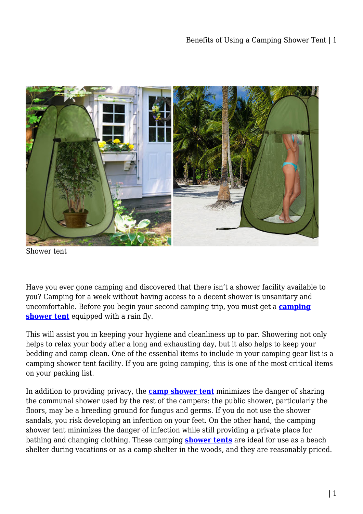

Shower tent

Have you ever gone camping and discovered that there isn't a shower facility available to you? Camping for a week without having access to a decent shower is unsanitary and uncomfortable. Before you begin your second camping trip, you must get a **[camping](https://campingoffers.com.au/shower-tent/) [shower tent](https://campingoffers.com.au/shower-tent/)** equipped with a rain fly.

This will assist you in keeping your hygiene and cleanliness up to par. Showering not only helps to relax your body after a long and exhausting day, but it also helps to keep your bedding and camp clean. One of the essential items to include in your camping gear list is a camping shower tent facility. If you are going camping, this is one of the most critical items on your packing list.

In addition to providing privacy, the **[camp shower tent](https://campinequipment.blogspot.com/2021/10/benefits-of-using-camping-shower-tent.html)** minimizes the danger of sharing the communal shower used by the rest of the campers: the public shower, particularly the floors, may be a breeding ground for fungus and germs. If you do not use the shower sandals, you risk developing an infection on your feet. On the other hand, the camping shower tent minimizes the danger of infection while still providing a private place for bathing and changing clothing. These camping **[shower tents](https://campingoffers.com.au/shower-tent/)** are ideal for use as a beach shelter during vacations or as a camp shelter in the woods, and they are reasonably priced.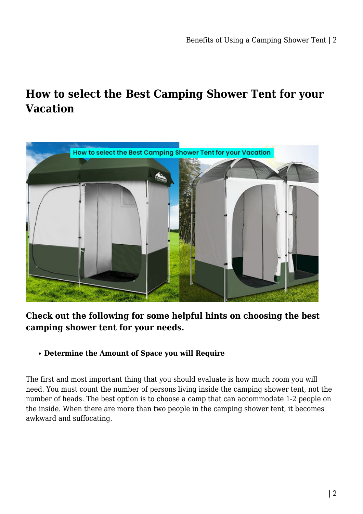## **How to select the Best Camping Shower Tent for your Vacation**



## **Check out the following for some helpful hints on choosing the best camping shower tent for your needs.**

#### **Determine the Amount of Space you will Require**

The first and most important thing that you should evaluate is how much room you will need. You must count the number of persons living inside the camping shower tent, not the number of heads. The best option is to choose a camp that can accommodate 1-2 people on the inside. When there are more than two people in the camping shower tent, it becomes awkward and suffocating.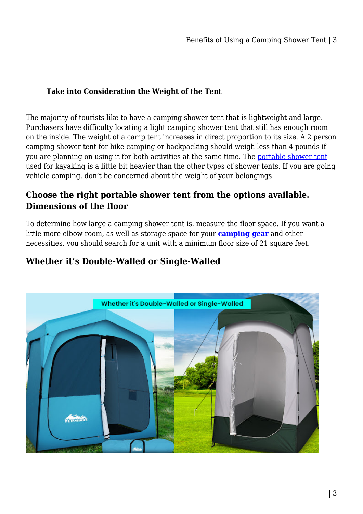### **Take into Consideration the Weight of the Tent**

The majority of tourists like to have a camping shower tent that is lightweight and large. Purchasers have difficulty locating a light camping shower tent that still has enough room on the inside. The weight of a camp tent increases in direct proportion to its size. A 2 person camping shower tent for bike camping or backpacking should weigh less than 4 pounds if you are planning on using it for both activities at the same time. The [portable shower tent](https://campingoffers.com.au/shower-tent/) used for kayaking is a little bit heavier than the other types of shower tents. If you are going vehicle camping, don't be concerned about the weight of your belongings.

## **Choose the right portable shower tent from the options available. Dimensions of the floor**

To determine how large a camping shower tent is, measure the floor space. If you want a little more elbow room, as well as storage space for your **[camping gear](https://campingoffers.com.au/shower-tent/)** and other necessities, you should search for a unit with a minimum floor size of 21 square feet.

## **Whether it's Double-Walled or Single-Walled**

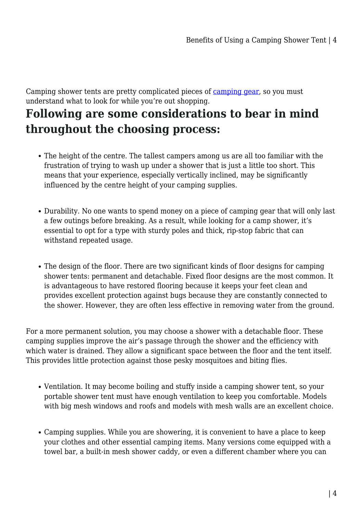Camping shower tents are pretty complicated pieces of [camping gear,](https://campingoffers.com.au/) so you must understand what to look for while you're out shopping.

# **Following are some considerations to bear in mind throughout the choosing process:**

- The height of the centre. The tallest campers among us are all too familiar with the frustration of trying to wash up under a shower that is just a little too short. This means that your experience, especially vertically inclined, may be significantly influenced by the centre height of your camping supplies.
- Durability. No one wants to spend money on a piece of camping gear that will only last a few outings before breaking. As a result, while looking for a camp shower, it's essential to opt for a type with sturdy poles and thick, rip-stop fabric that can withstand repeated usage.
- The design of the floor. There are two significant kinds of floor designs for camping shower tents: permanent and detachable. Fixed floor designs are the most common. It is advantageous to have restored flooring because it keeps your feet clean and provides excellent protection against bugs because they are constantly connected to the shower. However, they are often less effective in removing water from the ground.

For a more permanent solution, you may choose a shower with a detachable floor. These camping supplies improve the air's passage through the shower and the efficiency with which water is drained. They allow a significant space between the floor and the tent itself. This provides little protection against those pesky mosquitoes and biting flies.

- Ventilation. It may become boiling and stuffy inside a camping shower tent, so your portable shower tent must have enough ventilation to keep you comfortable. Models with big mesh windows and roofs and models with mesh walls are an excellent choice.
- Camping supplies. While you are showering, it is convenient to have a place to keep your clothes and other essential camping items. Many versions come equipped with a towel bar, a built-in mesh shower caddy, or even a different chamber where you can